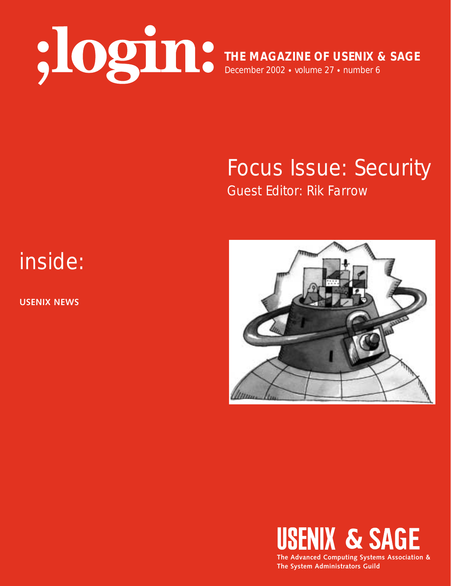

**THE MAGAZINE OF USENIX & SAGE** December 2002 • volume 27 • number 6

## Focus Issue: Security Guest Editor: Rik Farrow

# inside:

**USENIX NEWS**





**The System Administrators Guild**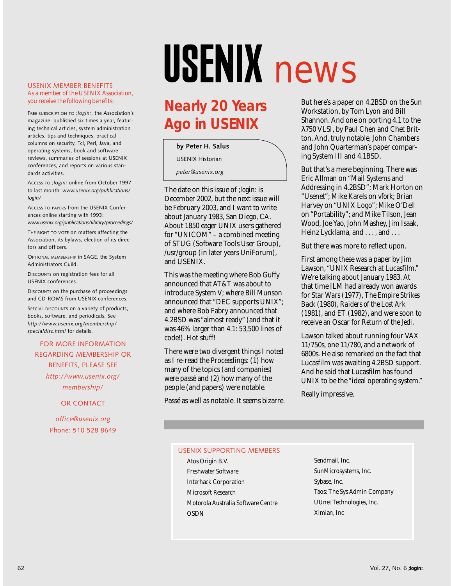#### USENIX MEMBER BENEFITS As a member of the USENIX Association, you receive the following benefits:

FREE SUBSCRIPTION TO *;login:*, the Association's magazine, published six times a year, featuring technical articles, system administration articles, tips and techniques, practical columns on security, Tcl, Perl, Java, and operating systems, book and software reviews, summaries of sessions at USENIX conferences, and reports on various standards activities.

ACCESS TO *;login:* online from October 1997 to last month: *www.usenix.org/publications/ login/*

ACCESS TO PAPERS from the USENIX Conferences online starting with 1993: *www.usenix.org/publications/library/proceedings/*

THE RIGHT TO VOTE on matters affecting the Association, its bylaws, election of its directors and officers.

OPTIONAL MEMBERSHIP in SAGE, the System Administrators Guild.

DISCOUNTS on registration fees for all USENIX conferences.

DISCOUNTS on the purchase of proceedings and CD-ROMS from USENIX conferences.

SPECIAL DISCOUNTS on a variety of products, books, software, and periodicals. See *http://www.usenix.org/membership/ specialdisc.html* for details.

## FOR MORE INFORMATION REGARDING MEMBERSHIP OR BENEFITS, PLEASE SEE *http://www.usenix.org/*

*membership/*

OR CONTACT

*office@usenix.org* Phone: 510 528 8649

# USENIX news

## **Nearly 20 Years Ago in USENIX**

#### **by Peter H. Salus**

USENIX Historian

*peter@usenix.org*

The date on this issue of *;login:* is December 2002, but the next issue will be February 2003, and I want to write about January 1983, San Diego, CA. About 1850 eager UNIX users gathered for "UNICOM" – a combined meeting of STUG (Software Tools User Group), /usr/group (in later years UniForum), and USENIX.

This was the meeting where Bob Guffy announced that AT&T was about to introduce System V; where Bill Munson announced that "DEC supports UNIX"; and where Bob Fabry announced that 4.2BSD was "almost ready" (and that it was 46% larger than 4.1: 53,500 lines of code!). Hot stuff!

There were two divergent things I noted as I re-read the Proceedings: (1) how many of the topics (and companies) were passé and (2) how many of the people (and papers) were notable.

Passé as well as notable. It seems bizarre.

But here's a paper on 4.2BSD on the Sun Workstation, by Tom Lyon and Bill Shannon. And one on porting 4.1 to the λ750 VLSI, by Paul Chen and Chet Britton. And, truly notable, John Chambers and John Quarterman's paper comparing System III and 4.1BSD.

But that's a mere beginning. There was Eric Allman on "Mail Systems and Addressing in 4.2BSD"; Mark Horton on "Usenet"; Mike Karels on *vfork*; Brian Harvey on "UNIX Logo"; Mike O'Dell on "Portability"; and Mike Tilson, Jean Wood, Joe Yao, John Mashey, Jim Isaak, Heinz Lycklama, and ..., and ...

But there was more to reflect upon.

First among these was a paper by Jim Lawson, "UNIX Research at Lucasfilm." We're talking about January 1983. At that time ILM had already won awards for *Star Wars* (1977), *The Empire Strikes Back* (1980), *Raiders of the Lost Ark* (1981), and *ET* (1982), and were soon to receive an Oscar for *Return of the Jedi*.

Lawson talked about running four VAX 11/750s, one 11/780, and a network of 6800s. He also remarked on the fact that Lucasfilm was awaiting 4.2BSD support. And he said that Lucasfilm has found UNIX to be the "ideal operating system."

Really impressive.

### USENIX SUPPORTING MEMBERS

- Atos Origin B.V. Freshwater Software Interhack Corporation Microsoft Research Motorola Australia Software Centre OSDN
- Sendmail, Inc. SunMicrosystems, Inc. Sybase, Inc. Taos: The Sys Admin Company UUnet Technologies, Inc. Ximian, Inc